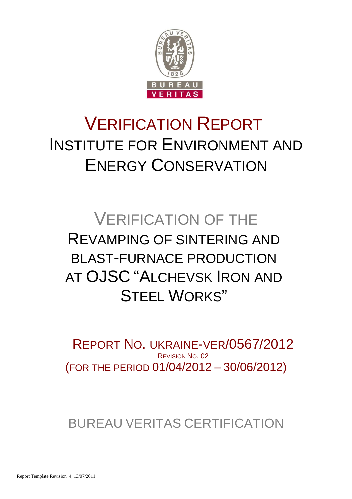

# VERIFICATION REPORT INSTITUTE FOR ENVIRONMENT AND ENERGY CONSERVATION

# VERIFICATION OF THE REVAMPING OF SINTERING AND BLAST-FURNACE PRODUCTION AT OJSC "ALCHEVSK IRON AND STEFI WORKS"

(FOR THE PERIOD 01/04/2012 – 30/06/2012) REPORT NO. UKRAINE-VER/0567/2012 REVISION NO. 02

BUREAU VERITAS CERTIFICATION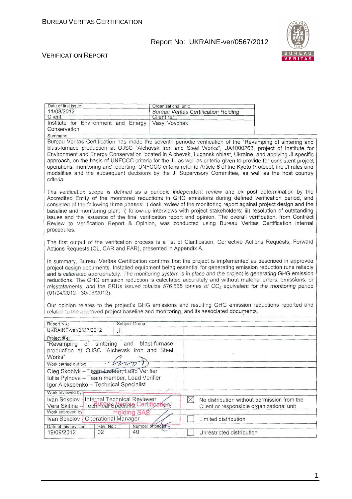

#### VERIFICATION REPORT

| Date of first issue:                                                                                                                | Organizational unit:                                                                                                                                                                                                                                                                                                                                                                                                                                                                                                                                                                                                                                                               |  |  |  |  |
|-------------------------------------------------------------------------------------------------------------------------------------|------------------------------------------------------------------------------------------------------------------------------------------------------------------------------------------------------------------------------------------------------------------------------------------------------------------------------------------------------------------------------------------------------------------------------------------------------------------------------------------------------------------------------------------------------------------------------------------------------------------------------------------------------------------------------------|--|--|--|--|
| 11/09/2012                                                                                                                          | <b>Bureau Veritas Certification Holding</b>                                                                                                                                                                                                                                                                                                                                                                                                                                                                                                                                                                                                                                        |  |  |  |  |
| Client:                                                                                                                             | Client ref.:                                                                                                                                                                                                                                                                                                                                                                                                                                                                                                                                                                                                                                                                       |  |  |  |  |
| Institute for Environment and Energy                                                                                                | Vasyl Vovchak                                                                                                                                                                                                                                                                                                                                                                                                                                                                                                                                                                                                                                                                      |  |  |  |  |
| Conservation                                                                                                                        |                                                                                                                                                                                                                                                                                                                                                                                                                                                                                                                                                                                                                                                                                    |  |  |  |  |
| Summary:                                                                                                                            |                                                                                                                                                                                                                                                                                                                                                                                                                                                                                                                                                                                                                                                                                    |  |  |  |  |
| criteria.                                                                                                                           | Bureau Veritas Certification has made the seventh periodic verification of the "Revamping of sintering and<br>blast-furnace production at OJSC "Alchevsk Iron and Steel Works", UA1000262, project of Institute for<br>Environment and Energy Conservation located in Alchevsk, Lugansk oblast, Ukraine, and applying JI specific<br>approach, on the basis of UNFCCC criteria for the JI, as well as criteria given to provide for consistent project<br>operations, monitoring and reporting. UNFCCC criteria refer to Article 6 of the Kyoto Protocol, the JI rules and<br>modalities and the subsequent decisions by the JI Supervisory Committee, as well as the host country |  |  |  |  |
| procedures.                                                                                                                         | The verification scope is defined as a periodic independent review and ex post determination by the<br>Accredited Entity of the monitored reductions in GHG emissions during defined verification period, and<br>consisted of the following three phases: i) desk review of the monitoring report against project design and the<br>baseline and monitoring plan; ii) follow-up interviews with project stakeholders; iii) resolution of outstanding<br>issues and the issuance of the final verification report and opinion. The overall verification, from Contract<br>Review to Verification Report & Opinion, was conducted using Bureau Veritas Certification internal        |  |  |  |  |
| Actions Requests (CL, CAR and FAR), presented in Appendix A.                                                                        | The first output of the verification process is a list of Clarification, Corrective Actions Requests, Forward                                                                                                                                                                                                                                                                                                                                                                                                                                                                                                                                                                      |  |  |  |  |
| (01/04/2012 - 30/06/2012).<br>Our opinion relates to the project's GHG emissions and resulting GHG emission reductions reported and | In summary, Bureau Veritas Certification confirms that the project is implemented as described in approved<br>project design documents. Installed equipment being essential for generating emission reduction runs reliably<br>and is calibrated appropriately. The monitoring system is in place and the project is generating GHG emission<br>reductions. The GHG emission reduction is calculated accurately and without material errors, omissions, or<br>misstatements, and the ERUs issued totalize 576 665 tonnes of CO <sub>2</sub> equivalent for the monitoring period                                                                                                   |  |  |  |  |
|                                                                                                                                     | related to the approved project baseline and monitoring, and its associated documents.                                                                                                                                                                                                                                                                                                                                                                                                                                                                                                                                                                                             |  |  |  |  |
| Subject Group:<br>Report No.:                                                                                                       |                                                                                                                                                                                                                                                                                                                                                                                                                                                                                                                                                                                                                                                                                    |  |  |  |  |
| UKRAINE-ver/0567/2012<br>J <sub>l</sub>                                                                                             |                                                                                                                                                                                                                                                                                                                                                                                                                                                                                                                                                                                                                                                                                    |  |  |  |  |
|                                                                                                                                     |                                                                                                                                                                                                                                                                                                                                                                                                                                                                                                                                                                                                                                                                                    |  |  |  |  |
| Project title:<br>and blast-furnace<br>"Revamping of sintering<br>production at OJSC "Alchevsk Iron and Steel<br>Works"<br>bron     |                                                                                                                                                                                                                                                                                                                                                                                                                                                                                                                                                                                                                                                                                    |  |  |  |  |
| Work carried out by:                                                                                                                |                                                                                                                                                                                                                                                                                                                                                                                                                                                                                                                                                                                                                                                                                    |  |  |  |  |
| Oleg Skoblyk - Team Leader, Lead Verifier                                                                                           |                                                                                                                                                                                                                                                                                                                                                                                                                                                                                                                                                                                                                                                                                    |  |  |  |  |
| Iuliia Pylnova - Team member, Lead Verifier                                                                                         |                                                                                                                                                                                                                                                                                                                                                                                                                                                                                                                                                                                                                                                                                    |  |  |  |  |
| Igor Alekseenko - Technical Specialist                                                                                              |                                                                                                                                                                                                                                                                                                                                                                                                                                                                                                                                                                                                                                                                                    |  |  |  |  |
| Work reviewed by:                                                                                                                   |                                                                                                                                                                                                                                                                                                                                                                                                                                                                                                                                                                                                                                                                                    |  |  |  |  |
| Ivan Sokolov - Internal Technical Reviewer<br>Vera Skitina - Technical Speciens Certifications<br>Work approved by                  | $\boxtimes$<br>No distribution without permission from the<br>Client or responsible organizational unit                                                                                                                                                                                                                                                                                                                                                                                                                                                                                                                                                                            |  |  |  |  |
| <b>Holding SAS</b><br>Ivan Sokolov - Operational Manager                                                                            | Limited distribution                                                                                                                                                                                                                                                                                                                                                                                                                                                                                                                                                                                                                                                               |  |  |  |  |
| Rev. No.:<br>Date of this revision:                                                                                                 | Number of pages.                                                                                                                                                                                                                                                                                                                                                                                                                                                                                                                                                                                                                                                                   |  |  |  |  |
| 02<br>19/09/2012<br>40                                                                                                              | Unrestricted distribution                                                                                                                                                                                                                                                                                                                                                                                                                                                                                                                                                                                                                                                          |  |  |  |  |

1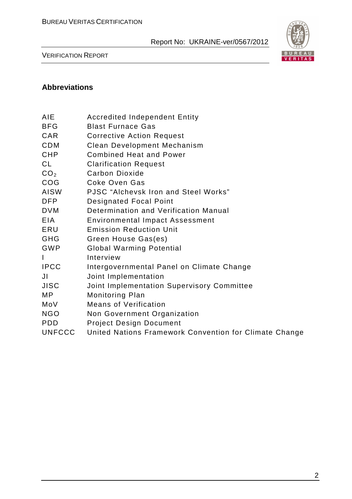

VERIFICATION REPORT

#### **Abbreviations**

| <b>Accredited Independent Entity</b> |
|--------------------------------------|
|                                      |

- BFG Blast Furnace Gas
- CAR Corrective Action Request
- CDM Clean Development Mechanism
- CHP Combined Heat and Power
- CL Clarification Request
- CO<sub>2</sub> Carbon Dioxide
- COG Coke Oven Gas
- AISW PJSC "Alchevsk Iron and Steel Works"
- DFP Designated Focal Point
- DVM Determination and Verification Manual
- EIA Environmental Impact Assessment
- ERU Emission Reduction Unit
- GHG Green House Gas(es)
- GWP Global Warming Potential
- I Interview
- IPCC Intergovernmental Panel on Climate Change
- JI Joint Implementation
- JISC Joint Implementation Supervisory Committee
- MP Monitoring Plan
- MoV Means of Verification
- NGO Non Government Organization
- PDD Project Design Document
- UNFCCC United Nations Framework Convention for Climate Change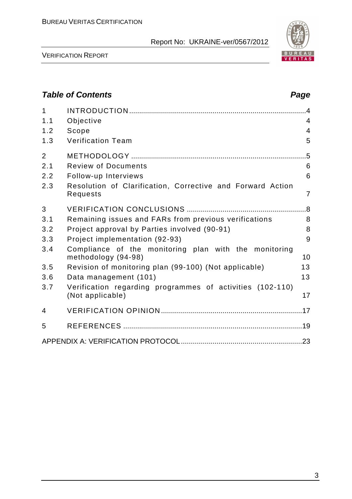

VERIFICATION REPORT

# **Table of Contents Page 2016** 1 INTRODUCTION .........................................................................................4 1.1 Objective 4 1.2 Scope 4 1.3 Verification Team 5 2 METHODOLOGY ........................................................................................5 2.1 Review of Documents 6 2.2 Follow-up Interviews 6 2.3 Resolution of Clarification, Corrective and Forward Action Requests 7 3 VERIFICATION CONCLUSIONS ............................................................8 3.1 Remaining issues and FARs from previous verifications 8 3.2 Project approval by Parties involved (90-91) 8 3.3 Project implementation (92-93) 9 3.4 Compliance of the monitoring plan with the monitoring methodology (94-98) 10 3.5 Revision of monitoring plan (99-100) (Not applicable) 13 3.6 Data management (101) 13 3.7 Verification regarding programmes of activities (102-110) (Not applicable) 17 4 VERIFICATION OPINION .......................................................................17 5 REFERENCES ..........................................................................................19 APPENDIX A: VERIFICATION PROTOCOL.............................................................23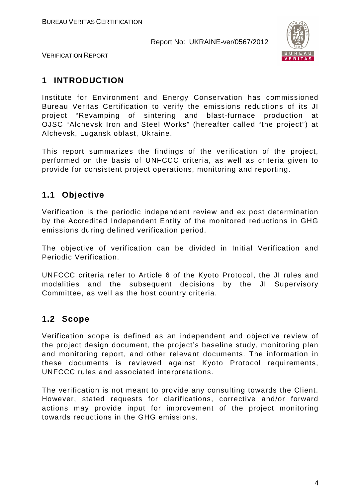

VERIFICATION REPORT

# **1 INTRODUCTION**

Institute for Environment and Energy Conservation has commissioned Bureau Veritas Certification to verify the emissions reductions of its JI project "Revamping of sintering and blast-furnace production at OJSC "Alchevsk Iron and Steel Works" (hereafter called "the project") at Alchevsk, Lugansk oblast, Ukraine.

This report summarizes the findings of the verification of the project, performed on the basis of UNFCCC criteria, as well as criteria given to provide for consistent project operations, monitoring and reporting.

# **1.1 Objective**

Verification is the periodic independent review and ex post determination by the Accredited Independent Entity of the monitored reductions in GHG emissions during defined verification period.

The objective of verification can be divided in Initial Verification and Periodic Verification.

UNFCCC criteria refer to Article 6 of the Kyoto Protocol, the JI rules and modalities and the subsequent decisions by the JI Supervisory Committee, as well as the host country criteria.

### **1.2 Scope**

Verification scope is defined as an independent and objective review of the project design document, the project's baseline study, monitoring plan and monitoring report, and other relevant documents. The information in these documents is reviewed against Kyoto Protocol requirements, UNFCCC rules and associated interpretations.

The verification is not meant to provide any consulting towards the Client. However, stated requests for clarifications, corrective and/or forward actions may provide input for improvement of the project monitoring towards reductions in the GHG emissions.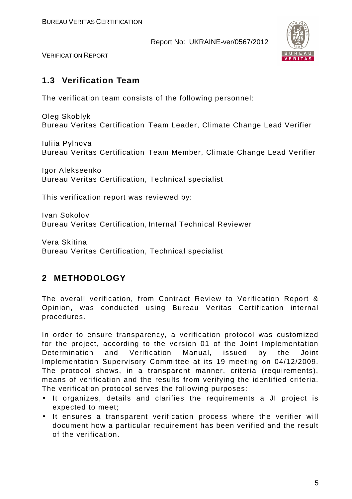

VERIFICATION REPORT

#### **1.3 Verification Team**

The verification team consists of the following personnel:

Oleg Skoblyk Bureau Veritas Certification Team Leader, Climate Change Lead Verifier

Iuliia Pylnova Bureau Veritas Certification Team Member, Climate Change Lead Verifier

Igor Alekseenko Bureau Veritas Certification, Technical specialist

This verification report was reviewed by:

Ivan Sokolov Bureau Veritas Certification, Internal Technical Reviewer

Vera Skitina Bureau Veritas Certification, Technical specialist

# **2 METHODOLOGY**

The overall verification, from Contract Review to Verification Report & Opinion, was conducted using Bureau Veritas Certification internal procedures.

In order to ensure transparency, a verification protocol was customized for the project, according to the version 01 of the Joint Implementation Determination and Verification Manual, issued by the Joint Implementation Supervisory Committee at its 19 meeting on 04/12/2009. The protocol shows, in a transparent manner, criteria (requirements), means of verification and the results from verifying the identified criteria. The verification protocol serves the following purposes:

- It organizes, details and clarifies the requirements a JI project is expected to meet;
- It ensures a transparent verification process where the verifier will document how a particular requirement has been verified and the result of the verification.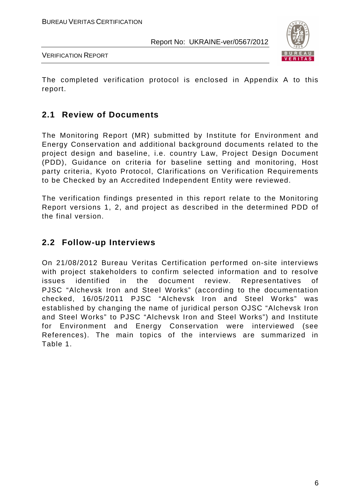

VERIFICATION REPORT

The completed verification protocol is enclosed in Appendix A to this report.

#### **2.1 Review of Documents**

The Monitoring Report (MR) submitted by Institute for Environment and Energy Conservation and additional background documents related to the project design and baseline, i.e. country Law, Project Design Document (PDD), Guidance on criteria for baseline setting and monitoring, Host party criteria, Kyoto Protocol, Clarifications on Verification Requirements to be Checked by an Accredited Independent Entity were reviewed.

The verification findings presented in this report relate to the Monitoring Report versions 1, 2, and project as described in the determined PDD of the final version.

#### **2.2 Follow-up Interviews**

On 21/08/2012 Bureau Veritas Certification performed on-site interviews with project stakeholders to confirm selected information and to resolve issues identified in the document review. Representatives of PJSC "Alchevsk Iron and Steel Works" (according to the documentation checked, 16/05/2011 PJSC "Alchevsk Iron and Steel Works" was established by changing the name of juridical person OJSC "Alchevsk Iron and Steel Works" to PJSC "Alchevsk Iron and Steel Works") and Institute for Environment and Energy Conservation were interviewed (see References). The main topics of the interviews are summarized in Table 1.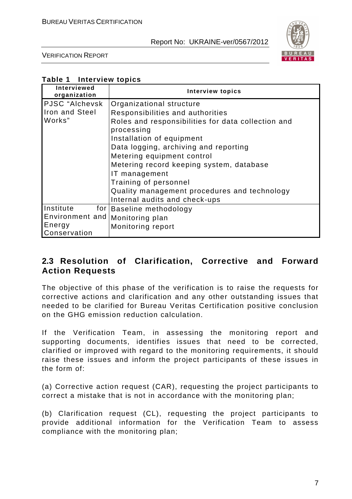

VERIFICATION REPORT

| Table 1<br>Interview topics |  |
|-----------------------------|--|
|-----------------------------|--|

| Interviewed<br>organization       | <b>Interview topics</b>                            |
|-----------------------------------|----------------------------------------------------|
| PJSC "Alchevsk                    | Organizational structure                           |
| Iron and Steel                    | Responsibilities and authorities                   |
| Works"                            | Roles and responsibilities for data collection and |
|                                   | processing                                         |
|                                   | Installation of equipment                          |
|                                   | Data logging, archiving and reporting              |
|                                   | Metering equipment control                         |
|                                   | Metering record keeping system, database           |
|                                   | IT management                                      |
|                                   | Training of personnel                              |
|                                   | Quality management procedures and technology       |
|                                   | Internal audits and check-ups                      |
| Institute                         | for Baseline methodology                           |
| Environment and   Monitoring plan |                                                    |
| Energy                            | Monitoring report                                  |
| Conservation                      |                                                    |

#### **2.3 Resolution of Clarification, Corrective and Forward Action Requests**

The objective of this phase of the verification is to raise the requests for corrective actions and clarification and any other outstanding issues that needed to be clarified for Bureau Veritas Certification positive conclusion on the GHG emission reduction calculation.

If the Verification Team, in assessing the monitoring report and supporting documents, identifies issues that need to be corrected, clarified or improved with regard to the monitoring requirements, it should raise these issues and inform the project participants of these issues in the form of:

(a) Corrective action request (CAR), requesting the project participants to correct a mistake that is not in accordance with the monitoring plan;

(b) Clarification request (CL), requesting the project participants to provide additional information for the Verification Team to assess compliance with the monitoring plan;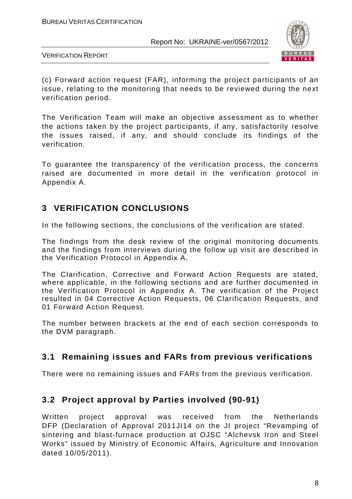

VERIFICATION REPORT

(c) Forward action request (FAR), informing the project participants of an issue, relating to the monitoring that needs to be reviewed during the next verification period.

The Verification Team will make an objective assessment as to whether the actions taken by the project participants, if any, satisfactorily resolve the issues raised, if any, and should conclude its findings of the verification.

To guarantee the transparency of the verification process, the concerns raised are documented in more detail in the verification protocol in Appendix A.

# **3 VERIFICATION CONCLUSIONS**

In the following sections, the conclusions of the verification are stated.

The findings from the desk review of the original monitoring documents and the findings from interviews during the follow up visit are described in the Verification Protocol in Appendix A.

The Clarification, Corrective and Forward Action Requests are stated, where applicable, in the following sections and are further documented in the Verification Protocol in Appendix A. The verification of the Project resulted in 04 Corrective Action Requests, 06 Clarification Requests, and 01 Forward Action Request.

The number between brackets at the end of each section corresponds to the DVM paragraph.

### **3.1 Remaining issues and FARs from previous verifications**

There were no remaining issues and FARs from the previous verification.

### **3.2 Project approval by Parties involved (90-91)**

Written project approval was received from the Netherlands DFP (Declaration of Approval 2011JI14 on the JI project "Revamping of sintering and blast-furnace production at OJSC "Alchevsk Iron and Steel Works" issued by Ministry of Economic Affairs, Agriculture and Innovation dated 10/05/2011).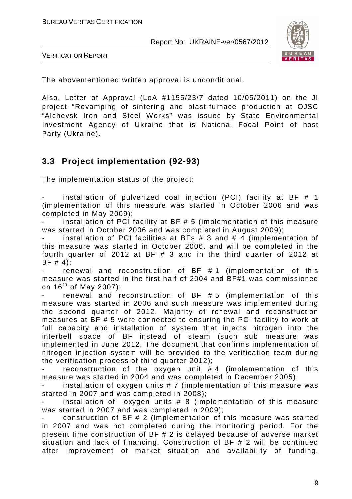

VERIFICATION REPORT

The abovementioned written approval is unconditional.

Also, Letter of Approval (LoA #1155/23/7 dated 10/05/2011) on the JI project "Revamping of sintering and blast-furnace production at OJSC "Alchevsk Iron and Steel Works" was issued by State Environmental Investment Agency of Ukraine that is National Focal Point of host Party (Ukraine).

#### **3.3 Project implementation (92-93)**

The implementation status of the project:

installation of pulverized coal injection (PCI) facility at BF  $#$  1 (implementation of this measure was started in October 2006 and was completed in May 2009);

installation of PCI facility at BF  $# 5$  (implementation of this measure was started in October 2006 and was completed in August 2009);

installation of PCI facilities at BFs  $# 3$  and  $# 4$  (implementation of this measure was started in October 2006, and will be completed in the fourth quarter of 2012 at BF # 3 and in the third quarter of 2012 at BF # 4);

- renewal and reconstruction of BF # 1 (implementation of this measure was started in the first half of 2004 and BF#1 was commissioned on  $16^{th}$  of May 2007);

renewal and reconstruction of  $BF$  #5 (implementation of this measure was started in 2006 and such measure was implemented during the second quarter of 2012. Majority of renewal and reconstruction measures at BF # 5 were connected to ensuring the PCI facility to work at full capacity and installation of system that injects nitrogen into the interbell space of BF instead of steam (such sub measure was implemented in June 2012. The document that confirms implementation of nitrogen injection system will be provided to the verification team during the verification process of third quarter 2012);

reconstruction of the oxygen unit  $# 4$  (implementation of this measure was started in 2004 and was completed in December 2005);

installation of oxygen units  $# 7$  (implementation of this measure was started in 2007 and was completed in 2008);

installation of oxygen units  $# 8$  (implementation of this measure was started in 2007 and was completed in 2009);

construction of BF  $# 2$  (implementation of this measure was started in 2007 and was not completed during the monitoring period. For the present time construction of BF # 2 is delayed because of adverse market situation and lack of financing. Construction of BF # 2 will be continued after improvement of market situation and availability of funding.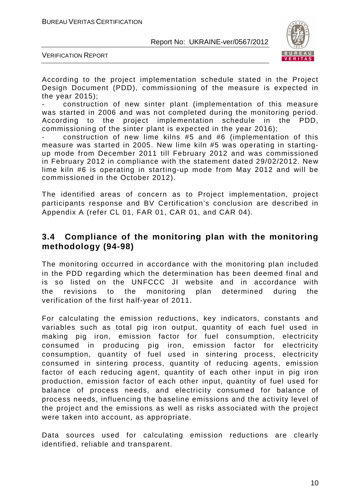![](_page_10_Picture_2.jpeg)

VERIFICATION REPORT

According to the project implementation schedule stated in the Project Design Document (PDD), commissioning of the measure is expected in the year 2015);

- construction of new sinter plant (implementation of this measure was started in 2006 and was not completed during the monitoring period. According to the project implementation schedule in the PDD, commissioning of the sinter plant is expected in the year 2016);

- construction of new lime kilns #5 and #6 (implementation of this measure was started in 2005. New lime kiln #5 was operating in startingup mode from December 2011 till February 2012 and was commissioned in February 2012 in compliance with the statement dated 29/02/2012. New lime kiln #6 is operating in starting-up mode from May 2012 and will be commissioned in the October 2012).

The identified areas of concern as to Project implementation, project participants response and BV Certification's conclusion are described in Appendix A (refer CL 01, FAR 01, CAR 01, and CAR 04).

#### **3.4 Compliance of the monitoring plan with the monitoring methodology (94-98)**

The monitoring occurred in accordance with the monitoring plan included in the PDD regarding which the determination has been deemed final and is so listed on the UNFCCC JI website and in accordance with the revisions to the monitoring plan determined during the verification of the first half-year of 2011.

For calculating the emission reductions, key indicators, constants and variables such as total pig iron output, quantity of each fuel used in making pig iron, emission factor for fuel consumption, electricity consumed in producing pig iron, emission factor for electricity consumption, quantity of fuel used in sintering process, electricity consumed in sintering process, quantity of reducing agents, emission factor of each reducing agent, quantity of each other input in pig iron production, emission factor of each other input, quantity of fuel used for balance of process needs, and electricity consumed for balance of process needs, influencing the baseline emissions and the activity level of the project and the emissions as well as risks associated with the project were taken into account, as appropriate.

Data sources used for calculating emission reductions are clearly identified, reliable and transparent.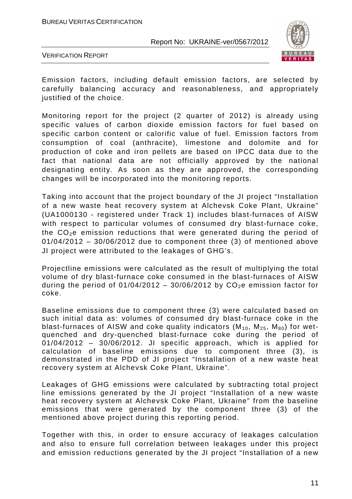![](_page_11_Picture_2.jpeg)

VERIFICATION REPORT

Emission factors, including default emission factors, are selected by carefully balancing accuracy and reasonableness, and appropriately justified of the choice.

Monitoring report for the project (2 quarter of 2012) is already using specific values of carbon dioxide emission factors for fuel based on specific carbon content or calorific value of fuel. Emission factors from consumption of coal (anthracite), limestone and dolomite and for production of coke and iron pellets are based on IPCC data due to the fact that national data are not officially approved by the national designating entity. As soon as they are approved, the corresponding changes will be incorporated into the monitoring reports.

Taking into account that the project boundary of the JI project "Installation of a new waste heat recovery system at Alchevsk Coke Plant, Ukraine" (UA1000130 - registered under Track 1) includes blast-furnaces of AISW with respect to particular volumes of consumed dry blast-furnace coke, the  $CO<sub>2</sub>e$  emission reductions that were generated during the period of  $01/04/2012 - 30/06/2012$  due to component three (3) of mentioned above JI project were attributed to the leakages of GHG's.

Projectline emissions were calculated as the result of multiplying the total volume of dry blast-furnace coke consumed in the blast-furnaces of AISW during the period of 01/04/2012 – 30/06/2012 by  $CO<sub>2</sub>e$  emission factor for coke.

Baseline emissions due to component three (3) were calculated based on such initial data as: volumes of consumed dry blast-furnace coke in the blast-furnaces of AISW and coke quality indicators  $(M_{10}, M_{25}, M_{80})$  for wetquenched and dry-quenched blast-furnace coke during the period of 01/04/2012 – 30/06/2012. JI specific approach, which is applied for calculation of baseline emissions due to component three (3), is demonstrated in the PDD of JI project "Installation of a new waste heat recovery system at Alchevsk Coke Plant, Ukraine".

Leakages of GHG emissions were calculated by subtracting total project line emissions generated by the JI project "Installation of a new waste heat recovery system at Alchevsk Coke Plant, Ukraine" from the baseline emissions that were generated by the component three (3) of the mentioned above project during this reporting period.

Together with this, in order to ensure accuracy of leakages calculation and also to ensure full correlation between leakages under this project and emission reductions generated by the JI project "Installation of a new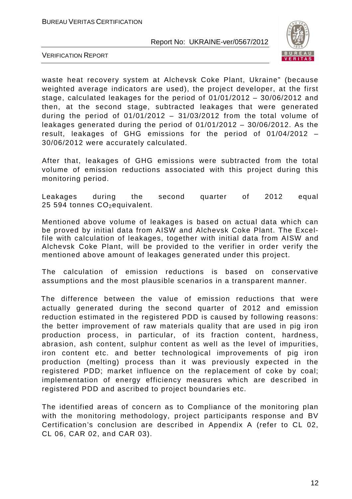![](_page_12_Picture_2.jpeg)

VERIFICATION REPORT

waste heat recovery system at Alchevsk Coke Plant, Ukraine" (because weighted average indicators are used), the project developer, at the first stage, calculated leakages for the period of 01/01/2012 – 30/06/2012 and then, at the second stage, subtracted leakages that were generated during the period of  $01/01/2012 - 31/03/2012$  from the total volume of leakages generated during the period of 01/01/2012 – 30/06/2012. As the result, leakages of GHG emissions for the period of 01/04/2012 – 30/06/2012 were accurately calculated.

After that, leakages of GHG emissions were subtracted from the total volume of emission reductions associated with this project during this monitoring period.

Leakages during the second quarter of 2012 equal 25 594 tonnes  $CO<sub>2</sub>$ equivalent.

Mentioned above volume of leakages is based on actual data which can be proved by initial data from AISW and Alchevsk Coke Plant. The Excelfile with calculation of leakages, together with initial data from AISW and Alchevsk Coke Plant, will be provided to the verifier in order verify the mentioned above amount of leakages generated under this project.

The calculation of emission reductions is based on conservative assumptions and the most plausible scenarios in a transparent manner.

 The difference between the value of emission reductions that were actually generated during the second quarter of 2012 and emission reduction estimated in the registered PDD is caused by following reasons: the better improvement of raw materials quality that are used in pig iron production process, in particular, of its fraction content, hardness, abrasion, ash content, sulphur content as well as the level of impurities, iron content etc. and better technological improvements of pig iron production (melting) process than it was previously expected in the registered PDD; market influence on the replacement of coke by coal; implementation of energy efficiency measures which are described in registered PDD and ascribed to project boundaries etc.

The identified areas of concern as to Compliance of the monitoring plan with the monitoring methodology, project participants response and BV Certification's conclusion are described in Appendix A (refer to CL 02, CL 06, CAR 02, and CAR 03).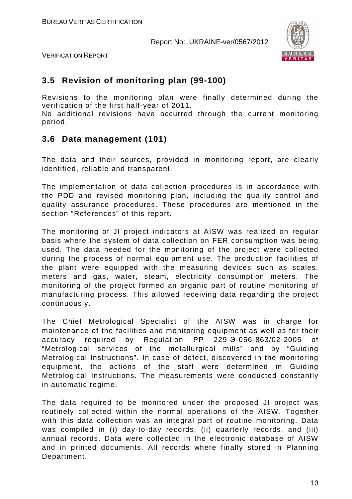![](_page_13_Picture_2.jpeg)

VERIFICATION REPORT

#### **3.5 Revision of monitoring plan (99-100)**

Revisions to the monitoring plan were finally determined during the verification of the first half-year of 2011.

No additional revisions have occurred through the current monitoring period.

#### **3.6 Data management (101)**

The data and their sources, provided in monitoring report, are clearly identified, reliable and transparent.

The implementation of data collection procedures is in accordance with the PDD and revised monitoring plan, including the quality control and quality assurance procedures. These procedures are mentioned in the section "References" of this report.

The monitoring of JI project indicators at AISW was realized on regular basis where the system of data collection on FER consumption was being used. The data needed for the monitoring of the project were collected during the process of normal equipment use. The production facilities of the plant were equipped with the measuring devices such as scales, meters and gas, water, steam, electricity consumption meters. The monitoring of the project formed an organic part of routine monitoring of manufacturing process. This allowed receiving data regarding the project continuously.

The Chief Metrological Specialist of the AISW was in charge for maintenance of the facilities and monitoring equipment as well as for their accuracy required by Regulation PP 229-Э-056-863/02-2005 of "Metrological services of the metallurgical mills" and by "Guiding Metrological Instructions". In case of defect, discovered in the monitoring equipment, the actions of the staff were determined in Guiding Metrological Instructions. The measurements were conducted constantly in automatic regime.

The data required to be monitored under the proposed JI project was routinely collected within the normal operations of the AISW. Together with this data collection was an integral part of routine monitoring. Data was compiled in (i) day-to-day records, (ii) quarterly records, and (iii) annual records. Data were collected in the electronic database of AISW and in printed documents. All records where finally stored in Planning Department.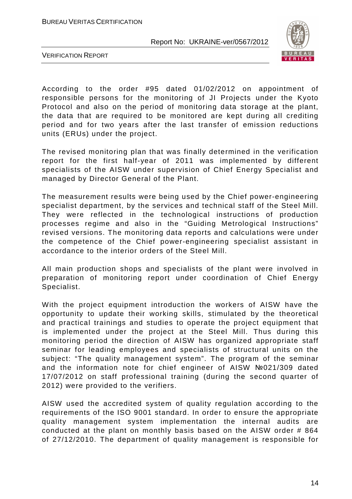![](_page_14_Picture_2.jpeg)

VERIFICATION REPORT

According to the order #95 dated 01/02/2012 on appointment of responsible persons for the monitoring of JI Projects under the Kyoto Protocol and also on the period of monitoring data storage at the plant, the data that are required to be monitored are kept during all crediting period and for two years after the last transfer of emission reductions units (ERUs) under the project.

The revised monitoring plan that was finally determined in the verification report for the first half-year of 2011 was implemented by different specialists of the AISW under supervision of Chief Energy Specialist and managed by Director General of the Plant.

The measurement results were being used by the Chief power-engineering specialist department, by the services and technical staff of the Steel Mill. They were reflected in the technological instructions of production processes regime and also in the "Guiding Metrological Instructions" revised versions. The monitoring data reports and calculations were under the competence of the Chief power-engineering specialist assistant in accordance to the interior orders of the Steel Mill.

All main production shops and specialists of the plant were involved in preparation of monitoring report under coordination of Chief Energy Specialist.

With the project equipment introduction the workers of AISW have the opportunity to update their working skills, stimulated by the theoretical and practical trainings and studies to operate the project equipment that is implemented under the project at the Steel Mill. Thus during this monitoring period the direction of AISW has organized appropriate staff seminar for leading employees and specialists of structural units on the subject: "The quality management system". The program of the seminar and the information note for chief engineer of AISW №021/309 dated 17/07/2012 on staff professional training (during the second quarter of 2012) were provided to the verifiers.

AISW used the accredited system of quality regulation according to the requirements of the ISO 9001 standard. In order to ensure the appropriate quality management system implementation the internal audits are conducted at the plant on monthly basis based on the AISW order # 864 of 27/12/2010. The department of quality management is responsible for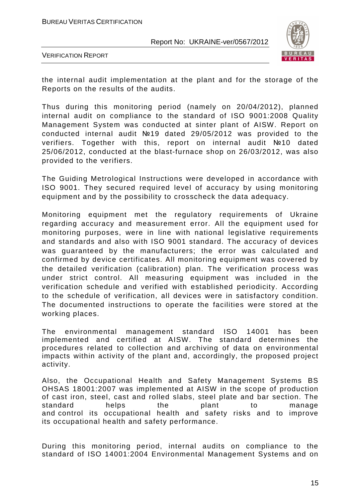![](_page_15_Picture_2.jpeg)

VERIFICATION REPORT

the internal audit implementation at the plant and for the storage of the Reports on the results of the audits.

Thus during this monitoring period (namely on 20/04/2012), planned internal audit on compliance to the standard of ISO 9001:2008 Quality Management System was conducted at sinter plant of AISW. Report on conducted internal audit №19 dated 29/05/2012 was provided to the verifiers. Together with this, report on internal audit №10 dated 25/06/2012, conducted at the blast-furnace shop on 26/03/2012, was also provided to the verifiers.

The Guiding Metrological Instructions were developed in accordance with ISO 9001. They secured required level of accuracy by using monitoring equipment and by the possibility to crosscheck the data adequacy.

Monitoring equipment met the regulatory requirements of Ukraine regarding accuracy and measurement error. All the equipment used for monitoring purposes, were in line with national legislative requirements and standards and also with ISO 9001 standard. The accuracy of devices was guaranteed by the manufacturers; the error was calculated and confirmed by device certificates. All monitoring equipment was covered by the detailed verification (calibration) plan. The verification process was under strict control. All measuring equipment was included in the verification schedule and verified with established periodicity. According to the schedule of verification, all devices were in satisfactory condition. The documented instructions to operate the facilities were stored at the working places.

The environmental management standard ISO 14001 has been implemented and certified at AISW. The standard determines the procedures related to collection and archiving of data on environmental impacts within activity of the plant and, accordingly, the proposed project activity.

Also, the Occupational Health and Safety Management Systems BS OHSAS 18001:2007 was implemented at AISW in the scope of production of cast iron, steel, cast and rolled slabs, steel plate and bar section. The standard helps the plant to manage and control its occupational health and safety risks and to improve its occupational health and safety performance.

During this monitoring period, internal audits on compliance to the standard of ISO 14001:2004 Environmental Management Systems and on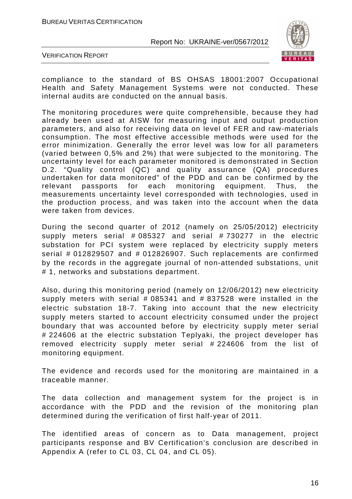![](_page_16_Picture_2.jpeg)

VERIFICATION REPORT

compliance to the standard of BS OHSAS 18001:2007 Occupational Health and Safety Management Systems were not conducted. These internal audits are conducted on the annual basis.

The monitoring procedures were quite comprehensible, because they had already been used at AISW for measuring input and output production parameters, and also for receiving data on level of FER and raw-materials consumption. The most effective accessible methods were used for the error minimization. Generally the error level was low for all parameters (varied between 0,5% and 2%) that were subjected to the monitoring. The uncertainty level for each parameter monitored is demonstrated in Section D.2. "Quality control (QC) and quality assurance (QA) procedures undertaken for data monitored" of the PDD and can be confirmed by the relevant passports for each monitoring equipment. Thus, the measurements uncertainty level corresponded with technologies, used in the production process, and was taken into the account when the data were taken from devices.

During the second quarter of 2012 (namely on 25/05/2012) electricity supply meters serial # 085327 and serial # 730277 in the electric substation for PCI system were replaced by electricity supply meters serial # 012829507 and # 012826907. Such replacements are confirmed by the records in the aggregate journal of non-attended substations, unit # 1, networks and substations department.

Also, during this monitoring period (namely on 12/06/2012) new electricity supply meters with serial # 085341 and # 837528 were installed in the electric substation 18-7. Taking into account that the new electricity supply meters started to account electricity consumed under the project boundary that was accounted before by electricity supply meter serial # 224606 at the electric substation Teplyaki, the project developer has removed electricity supply meter serial # 224606 from the list of monitoring equipment.

The evidence and records used for the monitoring are maintained in a traceable manner.

The data collection and management system for the project is in accordance with the PDD and the revision of the monitoring plan determined during the verification of first half-year of 2011.

The identified areas of concern as to Data management, project participants response and BV Certification's conclusion are described in Appendix A (refer to CL 03, CL 04, and CL 05).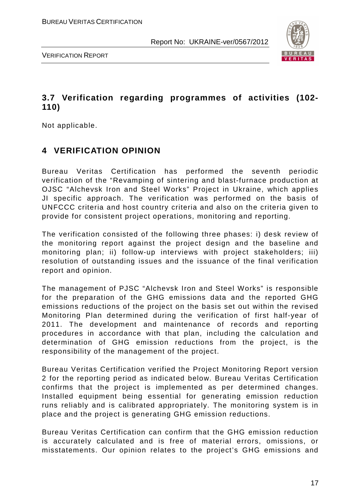![](_page_17_Picture_2.jpeg)

VERIFICATION REPORT

# **3.7 Verification regarding programmes of activities (102- 110)**

Not applicable.

# **4 VERIFICATION OPINION**

Bureau Veritas Certification has performed the seventh periodic verification of the "Revamping of sintering and blast-furnace production at OJSC "Alchevsk Iron and Steel Works" Project in Ukraine, which applies JI specific approach. The verification was performed on the basis of UNFCCC criteria and host country criteria and also on the criteria given to provide for consistent project operations, monitoring and reporting.

The verification consisted of the following three phases: i) desk review of the monitoring report against the project design and the baseline and monitoring plan; ii) follow-up interviews with project stakeholders; iii) resolution of outstanding issues and the issuance of the final verification report and opinion.

The management of PJSC "Alchevsk Iron and Steel Works" is responsible for the preparation of the GHG emissions data and the reported GHG emissions reductions of the project on the basis set out within the revised Monitoring Plan determined during the verification of first half-year of 2011. The development and maintenance of records and reporting procedures in accordance with that plan, including the calculation and determination of GHG emission reductions from the project, is the responsibility of the management of the project.

Bureau Veritas Certification verified the Project Monitoring Report version 2 for the reporting period as indicated below. Bureau Veritas Certification confirms that the project is implemented as per determined changes. Installed equipment being essential for generating emission reduction runs reliably and is calibrated appropriately. The monitoring system is in place and the project is generating GHG emission reductions.

Bureau Veritas Certification can confirm that the GHG emission reduction is accurately calculated and is free of material errors, omissions, or misstatements. Our opinion relates to the project's GHG emissions and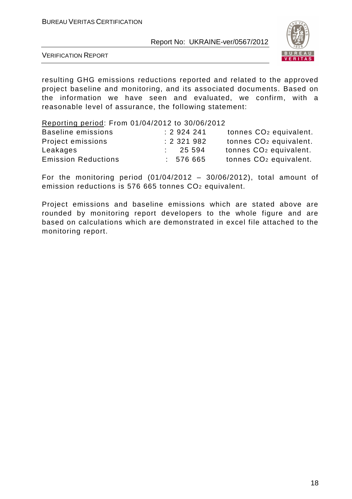![](_page_18_Picture_2.jpeg)

VERIFICATION REPORT

resulting GHG emissions reductions reported and related to the approved project baseline and monitoring, and its associated documents. Based on the information we have seen and evaluated, we confirm, with a reasonable level of assurance, the following statement:

Reporting period: From 01/04/2012 to 30/06/2012

| <b>Baseline emissions</b>  |  | : 2924241 | tonnes CO <sub>2</sub> equivalent. |
|----------------------------|--|-----------|------------------------------------|
| Project emissions          |  | : 2321982 | tonnes CO <sub>2</sub> equivalent. |
| Leakages                   |  | 25 594    | tonnes CO <sub>2</sub> equivalent. |
| <b>Emission Reductions</b> |  | : 576665  | tonnes CO <sub>2</sub> equivalent. |

For the monitoring period  $(01/04/2012 - 30/06/2012)$ , total amount of emission reductions is 576 665 tonnes CO2 equivalent.

Project emissions and baseline emissions which are stated above are rounded by monitoring report developers to the whole figure and are based on calculations which are demonstrated in excel file attached to the monitoring report.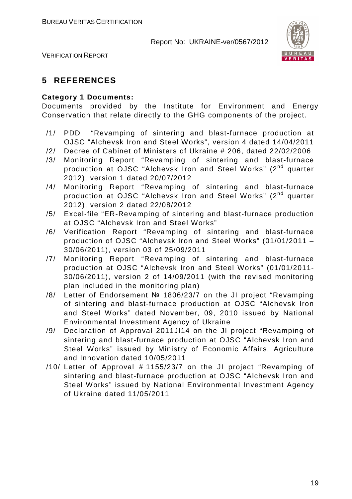![](_page_19_Picture_2.jpeg)

VERIFICATION REPORT

### **5 REFERENCES**

#### **Category 1 Documents:**

Documents provided by the Institute for Environment and Energy Conservation that relate directly to the GHG components of the project.

- /1/ PDD "Revamping of sintering and blast-furnace production at OJSC "Alchevsk Iron and Steel Works", version 4 dated 14/04/2011
- /2/ Decree of Cabinet of Ministers of Ukraine # 206, dated 22/02/2006
- /3/ Monitoring Report "Revamping of sintering and blast-furnace production at OJSC "Alchevsk Iron and Steel Works" (2nd quarter 2012), version 1 dated 20/07/2012
- /4/ Monitoring Report "Revamping of sintering and blast-furnace production at OJSC "Alchevsk Iron and Steel Works" (2<sup>nd</sup> quarter 2012), version 2 dated 22/08/2012
- /5/ Excel-file "ER-Revamping of sintering and blast-furnace production at OJSC "Alchevsk Iron and Steel Works"
- /6/ Verification Report "Revamping of sintering and blast-furnace production of OJSC "Alchevsk Iron and Steel Works" (01/01/2011 – 30/06/2011), version 03 of 25/09/2011
- /7/ Monitoring Report "Revamping of sintering and blast-furnace production at OJSC "Alchevsk Iron and Steel Works" (01/01/2011- 30/06/2011), version 2 of 14/09/2011 (with the revised monitoring plan included in the monitoring plan)
- /8/ Letter of Endorsement № 1806/23/7 on the JI project "Revamping of sintering and blast-furnace production at OJSC "Alchevsk Iron and Steel Works" dated November, 09, 2010 issued by National Environmental Investment Agency of Ukraine
- /9/ Declaration of Approval 2011JI14 on the JI project "Revamping of sintering and blast-furnace production at OJSC "Alchevsk Iron and Steel Works" issued by Ministry of Economic Affairs, Agriculture and Innovation dated 10/05/2011
- /10/ Letter of Approval # 1155/23/7 on the JI project "Revamping of sintering and blast-furnace production at OJSC "Alchevsk Iron and Steel Works" issued by National Environmental Investment Agency of Ukraine dated 11/05/2011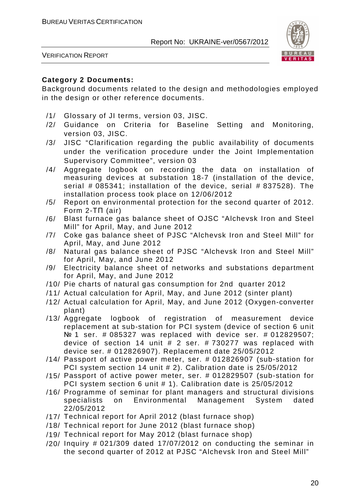![](_page_20_Picture_2.jpeg)

VERIFICATION REPORT

#### **Category 2 Documents:**

Background documents related to the design and methodologies employed in the design or other reference documents.

- /1/ Glossary of JI terms, version 03, JISC.
- /2/ Guidance on Criteria for Baseline Setting and Monitoring, version 03, JISC.
- /3/ JISC "Clarification regarding the public availability of documents under the verification procedure under the Joint Implementation Supervisory Committee", version 03
- /4/ Aggregate logbook on recording the data on installation of measuring devices at substation 18-7 (installation of the device, serial # 085341; installation of the device, serial # 837528). The installation process took place on 12/06/2012
- /5/ Report on environmental protection for the second quarter of 2012. Form 2-ТП (air)
- /6/ Blast furnace gas balance sheet of OJSC "Alchevsk Iron and Steel Mill" for April, May, and June 2012
- /7/ Coke gas balance sheet of PJSC "Alchevsk Iron and Steel Mill" for April, May, and June 2012
- /8/ Natural gas balance sheet of PJSC "Alchevsk Iron and Steel Mill" for April, May, and June 2012
- /9/ Electricity balance sheet of networks and substations department for April, May, and June 2012
- /10/ Pie charts of natural gas consumption for 2nd quarter 2012
- /11/ Actual calculation for April, May, and June 2012 (sinter plant)
- /12/ Actual calculation for April, May, and June 2012 (Oxygen-converter plant)
- /13/ Aggregate logbook of registration of measurement device replacement at sub-station for PCI system (device of section 6 unit № 1 ser. # 085327 was replaced with device ser. # 012829507; device of section 14 unit # 2 ser. # 730277 was replaced with device ser. # 012826907). Replacement date 25/05/2012
- /14/ Passport of active power meter, ser. # 012826907 (sub-station for PCI system section 14 unit # 2). Calibration date is 25/05/2012
- /15/ Passport of active power meter, ser. # 012829507 (sub-station for PCI system section 6 unit # 1). Calibration date is 25/05/2012
- /16/ Programme of seminar for plant managers and structural divisions specialists on Environmental Management System dated 22/05/2012
- /17/ Technical report for April 2012 (blast furnace shop)
- /18/ Technical report for June 2012 (blast furnace shop)
- /19/ Technical report for May 2012 (blast furnace shop)
- $/20/$  Inquiry # 021/309 dated 17/07/2012 on conducting the seminar in the second quarter of 2012 at PJSC "Alchevsk Iron and Steel Mill"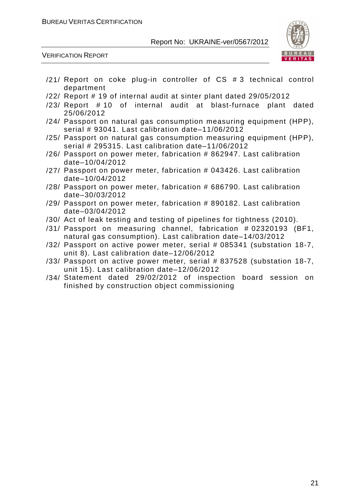![](_page_21_Picture_2.jpeg)

VERIFICATION REPORT

- /21/ Report on coke plug-in controller of CS # 3 technical control department
- /22/ Report # 19 of internal audit at sinter plant dated 29/05/2012
- /23/ Report # 10 of internal audit at blast-furnace plant dated 25/06/2012
- /24/ Passport on natural gas consumption measuring equipment (HPP), serial # 93041. Last calibration date–11/06/2012
- /25/ Passport on natural gas consumption measuring equipment (HPP), serial # 295315. Last calibration date-11/06/2012
- /26/ Passport on power meter, fabrication # 862947. Last calibration date–10/04/2012
- /27/ Passport on power meter, fabrication # 043426. Last calibration date–10/04/2012
- /28/ Passport on power meter, fabrication # 686790. Last calibration date–30/03/2012
- /29/ Passport on power meter, fabrication # 890182. Last calibration date–03/04/2012
- /30/ Act of leak testing and testing of pipelines for tightness (2010).
- /31/ Passport on measuring channel, fabrication # 02320193 (BF1, natural gas consumption). Last calibration date–14/03/2012
- /32/ Passport on active power meter, serial # 085341 (substation 18-7, unit 8). Last calibration date–12/06/2012
- /33/ Passport on active power meter, serial # 837528 (substation 18-7, unit 15). Last calibration date–12/06/2012
- /34/ Statement dated 29/02/2012 of inspection board session on finished by construction object commissioning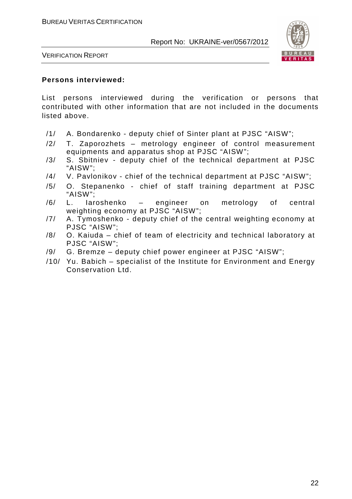![](_page_22_Picture_2.jpeg)

VERIFICATION REPORT

#### **Persons interviewed:**

List persons interviewed during the verification or persons that contributed with other information that are not included in the documents listed above.

- /1/ A. Bondarenko deputy chief of Sinter plant at PJSC "AISW";
- /2/ T. Zaporozhets metrology engineer of control measurement equipments and apparatus shop at PJSC "AISW";
- /3/ S. Sbitniev deputy chief of the technical department at PJSC "AISW";
- /4/ V. Pavlonikov chief of the technical department at PJSC "AISW";
- /5/ O. Stepanenko chief of staff training department at PJSC "AISW";
- /6/ L. Iaroshenko engineer on metrology of central weighting economy at PJSC "AISW";
- /7/ A. Tymoshenko deputy chief of the central weighting economy at PJSC "AISW";
- /8/ O. Kaiuda chief of team of electricity and technical laboratory at PJSC "AISW";
- /9/ G. Bremze deputy chief power engineer at PJSC "AISW";
- /10/ Yu. Babich specialist of the Institute for Environment and Energy Conservation Ltd.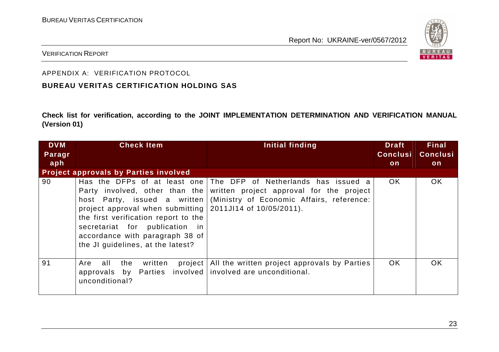![](_page_23_Picture_2.jpeg)

#### VERIFICATION REPORT

#### APPENDIX A: VERIFICATION PROTOCOL

#### **BUREAU VERITAS CERTIFICATION HOLDING SAS**

**Check list for verification, according to the JOINT IMPLEMENTATION DETERMINATION AND VERIFICATION MANUAL (Version 01)** 

| <b>DVM</b> | <b>Check Item</b>                                                                                                                                                                                                   | Initial finding                                                                                                                                                                                                       | <b>Draft</b>    | <b>Final</b>    |
|------------|---------------------------------------------------------------------------------------------------------------------------------------------------------------------------------------------------------------------|-----------------------------------------------------------------------------------------------------------------------------------------------------------------------------------------------------------------------|-----------------|-----------------|
| Paragr     |                                                                                                                                                                                                                     |                                                                                                                                                                                                                       | <b>Conclusi</b> | <b>Conclusi</b> |
| aph        |                                                                                                                                                                                                                     |                                                                                                                                                                                                                       | on              | on              |
|            | <b>Project approvals by Parties involved</b>                                                                                                                                                                        |                                                                                                                                                                                                                       |                 |                 |
| 90         | project approval when submitting $\vert$ 2011J114 of 10/05/2011).<br>the first verification report to the<br>secretariat for publication in<br>accordance with paragraph 38 of<br>the JI guidelines, at the latest? | Has the DFPs of at least one The DFP of Netherlands has issued a<br>Party involved, other than the written project approval for the project<br>host Party, issued a written (Ministry of Economic Affairs, reference: | OK.             | <b>OK</b>       |
| 91         | all<br>project<br>Are<br>written<br>the<br>approvals by Parties involved involved are unconditional.<br>unconditional?                                                                                              | All the written project approvals by Parties                                                                                                                                                                          | OK.             | <b>OK</b>       |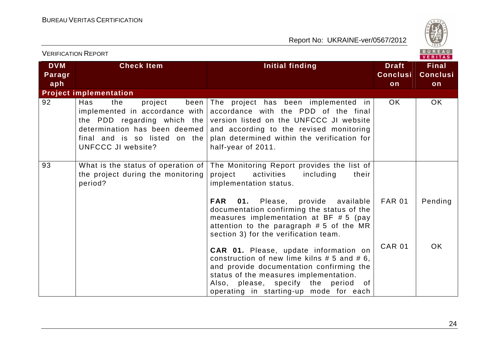![](_page_24_Picture_2.jpeg)

| <b>VERIFICATION REPORT</b>  |                                                                                                                                                            |                                                                                                                                                                                                                                                                         |                                       | BUREAU<br><b>VERITAS</b>              |
|-----------------------------|------------------------------------------------------------------------------------------------------------------------------------------------------------|-------------------------------------------------------------------------------------------------------------------------------------------------------------------------------------------------------------------------------------------------------------------------|---------------------------------------|---------------------------------------|
| <b>DVM</b><br>Paragr<br>aph | <b>Check Item</b>                                                                                                                                          | <b>Initial finding</b>                                                                                                                                                                                                                                                  | <b>Draft</b><br><b>Conclusi</b><br>on | <b>Final</b><br><b>Conclusi</b><br>on |
|                             | <b>Project implementation</b>                                                                                                                              |                                                                                                                                                                                                                                                                         |                                       |                                       |
| 92                          | Has<br>the<br>project<br>implemented in accordance with $ $<br>determination has been deemed<br>final and is so listed on the<br><b>UNFCCC JI website?</b> | been The project has been implemented in<br>accordance with the PDD of the final<br>the PDD regarding which the version listed on the UNFCCC JI website<br>and according to the revised monitoring<br>plan determined within the verification for<br>half-year of 2011. | OK.                                   | OK.                                   |
| 93                          | What is the status of operation of $ $<br>the project during the monitoring<br>period?                                                                     | The Monitoring Report provides the list of<br>project<br>activities<br>including<br>their<br>implementation status.                                                                                                                                                     |                                       |                                       |
|                             |                                                                                                                                                            | <b>FAR</b><br>01.<br>Please, provide available<br>documentation confirming the status of the<br>measures implementation at BF $# 5$ (pay<br>attention to the paragraph # 5 of the MR<br>section 3) for the verification team.                                           | <b>FAR 01</b>                         | Pending                               |
|                             |                                                                                                                                                            | CAR 01. Please, update information on<br>construction of new lime kilns $# 5$ and $# 6$ ,<br>and provide documentation confirming the<br>status of the measures implementation.<br>Also, please, specify the period<br>of .<br>operating in starting-up mode for each   | <b>CAR 01</b>                         | OK.                                   |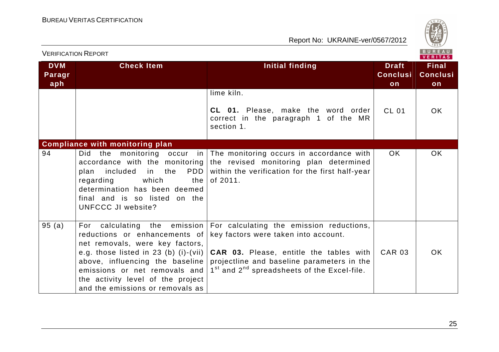![](_page_25_Picture_2.jpeg)

| <b>VERIFICATION REPORT</b>  |                                                                                                                                                                                                                                                                             | BUREAU<br>VERITAS                                                                                                                                                                                                                                                                          |                                       |                                       |
|-----------------------------|-----------------------------------------------------------------------------------------------------------------------------------------------------------------------------------------------------------------------------------------------------------------------------|--------------------------------------------------------------------------------------------------------------------------------------------------------------------------------------------------------------------------------------------------------------------------------------------|---------------------------------------|---------------------------------------|
| <b>DVM</b><br>Paragr<br>aph | <b>Check Item</b>                                                                                                                                                                                                                                                           | <b>Initial finding</b>                                                                                                                                                                                                                                                                     | <b>Draft</b><br><b>Conclusi</b><br>on | <b>Final</b><br><b>Conclusi</b><br>on |
|                             |                                                                                                                                                                                                                                                                             | lime kiln.<br>CL 01. Please, make the word order<br>correct in the paragraph 1 of the MR<br>section 1.                                                                                                                                                                                     | <b>CL 01</b>                          | OK.                                   |
| 94                          | <b>Compliance with monitoring plan</b><br>monitoring occur in<br>Did<br>the<br>accordance with the monitoring  <br>PDD  <br>included<br>in the<br>plan<br>which<br>regarding<br>the<br>determination has been deemed<br>final and is so listed on the<br>UNFCCC JI website? | The monitoring occurs in accordance with<br>the revised monitoring plan determined<br>within the verification for the first half-year<br>of 2011.                                                                                                                                          | OK.                                   | OK.                                   |
| 95(a)                       | For calculating the emission<br>reductions or enhancements of<br>net removals, were key factors,<br>above, influencing the baseline<br>emissions or net removals and<br>the activity level of the project<br>and the emissions or removals as                               | For calculating the emission reductions,<br>key factors were taken into account.<br>e.g. those listed in 23 (b) (i)-(vii) $ $ CAR 03. Please, entitle the tables with<br>projectline and baseline parameters in the<br>1 <sup>st</sup> and 2 <sup>nd</sup> spreadsheets of the Excel-file. | <b>CAR 03</b>                         | OK.                                   |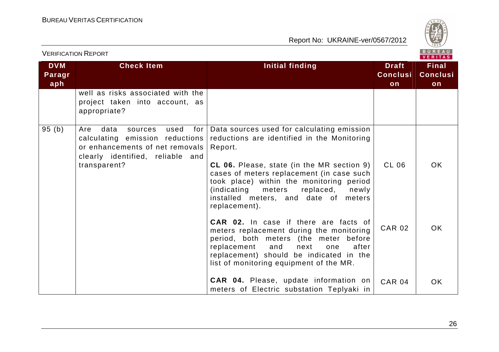![](_page_26_Picture_2.jpeg)

| <b>VERIFICATION REPORT</b>  |                                                                                                                                                                 |                                                                                                                                                                                                                                                                                                                                                                                                                                                                                          |                                       | BUREAU<br>VERITAS                     |
|-----------------------------|-----------------------------------------------------------------------------------------------------------------------------------------------------------------|------------------------------------------------------------------------------------------------------------------------------------------------------------------------------------------------------------------------------------------------------------------------------------------------------------------------------------------------------------------------------------------------------------------------------------------------------------------------------------------|---------------------------------------|---------------------------------------|
| <b>DVM</b><br>Paragr<br>aph | <b>Check Item</b>                                                                                                                                               | <b>Initial finding</b>                                                                                                                                                                                                                                                                                                                                                                                                                                                                   | <b>Draft</b><br><b>Conclusi</b><br>on | <b>Final</b><br><b>Conclusi</b><br>on |
|                             | well as risks associated with the<br>project taken into account, as<br>appropriate?                                                                             |                                                                                                                                                                                                                                                                                                                                                                                                                                                                                          |                                       |                                       |
| 95(b)                       | Are<br>data<br>used<br>for<br>sources<br>calculating emission reductions<br>or enhancements of net removals<br>clearly identified, reliable and<br>transparent? | Data sources used for calculating emission<br>reductions are identified in the Monitoring<br>Report.<br>CL 06. Please, state (in the MR section 9)<br>cases of meters replacement (in case such<br>took place) within the monitoring period<br>(indicating<br>meters<br>replaced,<br>newly<br>installed meters, and date of meters<br>replacement).<br><b>CAR 02.</b> In case if there are facts of<br>meters replacement during the monitoring<br>period, both meters (the meter before | <b>CL 06</b><br><b>CAR 02</b>         | <b>OK</b><br><b>OK</b>                |
|                             |                                                                                                                                                                 | replacement<br>after<br>and<br>one<br>next<br>replacement) should be indicated in the<br>list of monitoring equipment of the MR.<br><b>CAR 04.</b> Please, update information on<br>meters of Electric substation Teplyaki in                                                                                                                                                                                                                                                            | <b>CAR 04</b>                         | <b>OK</b>                             |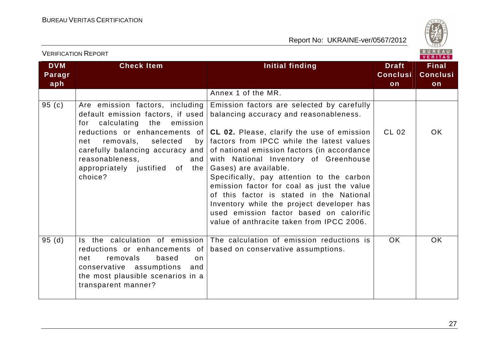![](_page_27_Picture_2.jpeg)

| <b>DVM</b><br>Paragr<br>aph | <b>Check Item</b>                                                                                                                                                                                                                                                 | Initial finding                                                                                                                                                                                                                                                                                                                                                                                                                                                                                                                                                                                               | <b>Draft</b><br><b>Conclusi</b><br>on | <b>Final</b><br><b>Conclusi</b><br>on |
|-----------------------------|-------------------------------------------------------------------------------------------------------------------------------------------------------------------------------------------------------------------------------------------------------------------|---------------------------------------------------------------------------------------------------------------------------------------------------------------------------------------------------------------------------------------------------------------------------------------------------------------------------------------------------------------------------------------------------------------------------------------------------------------------------------------------------------------------------------------------------------------------------------------------------------------|---------------------------------------|---------------------------------------|
|                             |                                                                                                                                                                                                                                                                   | Annex 1 of the MR.                                                                                                                                                                                                                                                                                                                                                                                                                                                                                                                                                                                            |                                       |                                       |
| 95(c)                       | Are emission factors, including<br>default emission factors, if used<br>for calculating the emission<br>removals, selected<br>net<br>by <sub>l</sub><br>carefully balancing accuracy and  <br>reasonableness,<br>and<br>appropriately justified of the<br>choice? | Emission factors are selected by carefully<br>balancing accuracy and reasonableness.<br>reductions or enhancements of $ CL 02.$ Please, clarify the use of emission<br>factors from IPCC while the latest values<br>of national emission factors (in accordance<br>with National Inventory of Greenhouse<br>Gases) are available.<br>Specifically, pay attention to the carbon<br>emission factor for coal as just the value<br>of this factor is stated in the National<br>Inventory while the project developer has<br>used emission factor based on calorific<br>value of anthracite taken from IPCC 2006. | CL 02                                 | OK.                                   |
| 95(d)                       |                                                                                                                                                                                                                                                                   | Is the calculation of emission The calculation of emission reductions is                                                                                                                                                                                                                                                                                                                                                                                                                                                                                                                                      | OK.                                   | <b>OK</b>                             |
|                             | reductions or enhancements of<br>based<br>removals<br>net<br>on<br>conservative assumptions<br>and<br>the most plausible scenarios in a<br>transparent manner?                                                                                                    | based on conservative assumptions.                                                                                                                                                                                                                                                                                                                                                                                                                                                                                                                                                                            |                                       |                                       |

VERIFICATION REPORT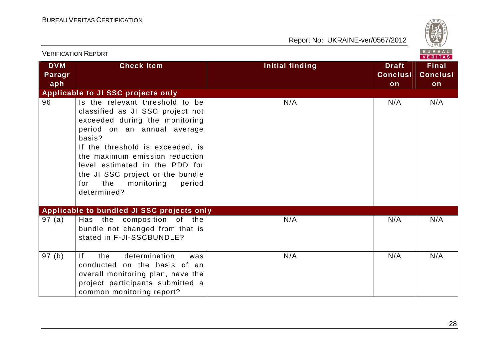![](_page_28_Picture_2.jpeg)

| <b>VERIFICATION REPORT</b>  |                                                                                                                                                                                                                                                                                                                                                 |                        |                                       | B U R E A U<br><b>VERITAS</b>         |
|-----------------------------|-------------------------------------------------------------------------------------------------------------------------------------------------------------------------------------------------------------------------------------------------------------------------------------------------------------------------------------------------|------------------------|---------------------------------------|---------------------------------------|
| <b>DVM</b><br>Paragr<br>aph | <b>Check Item</b>                                                                                                                                                                                                                                                                                                                               | <b>Initial finding</b> | <b>Draft</b><br><b>Conclusi</b><br>on | <b>Final</b><br><b>Conclusi</b><br>on |
|                             | Applicable to JI SSC projects only                                                                                                                                                                                                                                                                                                              |                        |                                       |                                       |
| 96                          | Is the relevant threshold to be<br>classified as JI SSC project not<br>exceeded during the monitoring<br>period on an annual average<br>basis?<br>If the threshold is exceeded, is<br>the maximum emission reduction<br>level estimated in the PDD for<br>the JI SSC project or the bundle<br>the<br>monitoring<br>period<br>for<br>determined? | N/A                    | N/A                                   | N/A                                   |
|                             | Applicable to bundled JI SSC projects only                                                                                                                                                                                                                                                                                                      |                        |                                       |                                       |
| 97(a)                       | Has the composition of the<br>bundle not changed from that is<br>stated in F-JI-SSCBUNDLE?                                                                                                                                                                                                                                                      | N/A                    | N/A                                   | N/A                                   |
| 97(b)                       | determination<br>If<br>the<br>was<br>conducted on the basis of an<br>overall monitoring plan, have the<br>project participants submitted a<br>common monitoring report?                                                                                                                                                                         | N/A                    | N/A                                   | N/A                                   |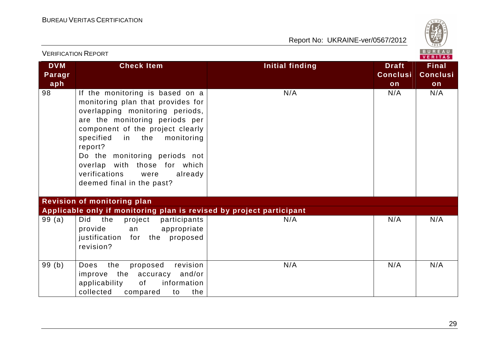![](_page_29_Picture_2.jpeg)

|                             | <b>VERIFICATION REPORT</b>                                                                                                                                                                                                                                                                                                                                   |                 |                                       | BUREAU<br><b>VERITAS</b>              |
|-----------------------------|--------------------------------------------------------------------------------------------------------------------------------------------------------------------------------------------------------------------------------------------------------------------------------------------------------------------------------------------------------------|-----------------|---------------------------------------|---------------------------------------|
| <b>DVM</b><br>Paragr<br>aph | <b>Check Item</b>                                                                                                                                                                                                                                                                                                                                            | Initial finding | <b>Draft</b><br><b>Conclusi</b><br>on | <b>Final</b><br><b>Conclusi</b><br>on |
| 98                          | If the monitoring is based on a<br>monitoring plan that provides for<br>overlapping monitoring periods,<br>are the monitoring periods per<br>component of the project clearly<br>specified<br>in the monitoring<br>report?<br>Do the monitoring periods not<br>overlap with those for which<br>verifications<br>were<br>already<br>deemed final in the past? | N/A             | N/A                                   | N/A                                   |
|                             | Revision of monitoring plan                                                                                                                                                                                                                                                                                                                                  |                 |                                       |                                       |
| 99(a)                       | Applicable only if monitoring plan is revised by project participant<br>Did<br>the<br>project<br>participants<br>provide<br>appropriate<br>an<br>justification for the proposed<br>revision?                                                                                                                                                                 | N/A             | N/A                                   | N/A                                   |
| 99(b)                       | revision<br>the<br>proposed<br>Does<br>the<br>accuracy<br>and/or<br>improve<br>applicability<br>of<br>information<br>collected<br>compared<br>the<br>to                                                                                                                                                                                                      | N/A             | N/A                                   | N/A                                   |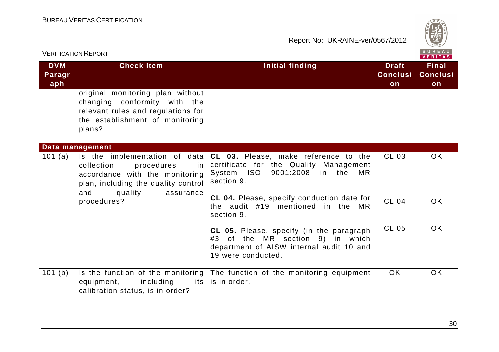![](_page_30_Picture_2.jpeg)

| <b>VERIFICATION REPORT</b>  |                                                                                                                                                     |                                                                                                                                                                        |                                       | B U R E A U<br><b>VERITAS</b>         |
|-----------------------------|-----------------------------------------------------------------------------------------------------------------------------------------------------|------------------------------------------------------------------------------------------------------------------------------------------------------------------------|---------------------------------------|---------------------------------------|
| <b>DVM</b><br>Paragr<br>aph | <b>Check Item</b>                                                                                                                                   | <b>Initial finding</b>                                                                                                                                                 | <b>Draft</b><br><b>Conclusi</b><br>on | <b>Final</b><br><b>Conclusi</b><br>on |
|                             | original monitoring plan without<br>changing conformity with the<br>relevant rules and regulations for<br>the establishment of monitoring<br>plans? |                                                                                                                                                                        |                                       |                                       |
|                             | Data management                                                                                                                                     |                                                                                                                                                                        |                                       |                                       |
| 101 $(a)$                   | collection<br>procedures<br>in<br>accordance with the monitoring<br>plan, including the quality control<br>and<br>quality<br>assurance              | Is the implementation of data $ CL$ 03. Please, make reference to the<br>certificate for the Quality Management<br>System ISO<br>9001:2008 in the<br>MR.<br>section 9. | CL 03                                 | OK.                                   |
|                             | procedures?                                                                                                                                         | CL 04. Please, specify conduction date for<br>the audit #19 mentioned in the MR<br>section 9.                                                                          | <b>CL 04</b>                          | OK.                                   |
|                             |                                                                                                                                                     | CL 05. Please, specify (in the paragraph<br>#3 of the MR section 9) in which<br>department of AISW internal audit 10 and<br>19 were conducted.                         | <b>CL 05</b>                          | <b>OK</b>                             |
| 101(b)                      | Is the function of the monitoring $ $<br>equipment,<br>including<br>its l<br>calibration status, is in order?                                       | The function of the monitoring equipment<br>is in order.                                                                                                               | <b>OK</b>                             | OK                                    |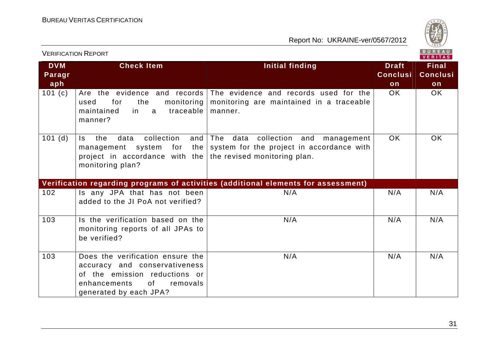![](_page_31_Picture_2.jpeg)

| VENIFIUATIUN INEFUNT<br>VERITAS |                                                                                                                                                                            |                                                                                                                    |                                       |                                       |  |
|---------------------------------|----------------------------------------------------------------------------------------------------------------------------------------------------------------------------|--------------------------------------------------------------------------------------------------------------------|---------------------------------------|---------------------------------------|--|
| <b>DVM</b><br>Paragr<br>aph     | <b>Check Item</b>                                                                                                                                                          | Initial finding                                                                                                    | <b>Draft</b><br><b>Conclusi</b><br>on | <b>Final</b><br><b>Conclusi</b><br>on |  |
| 101(c)                          | Are the evidence and records<br>the<br>monitoring<br>for<br>used<br>traceable<br>maintained<br>in a<br>manner?                                                             | The evidence and records used for the<br>monitoring are maintained in a traceable<br>manner.                       | OK.                                   | OK.                                   |  |
| $101$ (d)                       | collection<br>and<br>the<br>data<br>Is.<br>management system for<br>the<br>project in accordance with the<br>monitoring plan?                                              | The data collection and<br>management<br>system for the project in accordance with<br>the revised monitoring plan. | OK.                                   | OK                                    |  |
|                                 |                                                                                                                                                                            | Verification regarding programs of activities (additional elements for assessment)                                 |                                       |                                       |  |
| 102                             | Is any JPA that has not been<br>added to the JI PoA not verified?                                                                                                          | N/A                                                                                                                | N/A                                   | N/A                                   |  |
| 103                             | Is the verification based on the<br>monitoring reports of all JPAs to<br>be verified?                                                                                      | N/A                                                                                                                | N/A                                   | N/A                                   |  |
| 103                             | Does the verification ensure the<br>accuracy and conservativeness<br>of the emission reductions or<br>of the control<br>enhancements<br>removals<br>generated by each JPA? | N/A                                                                                                                | N/A                                   | N/A                                   |  |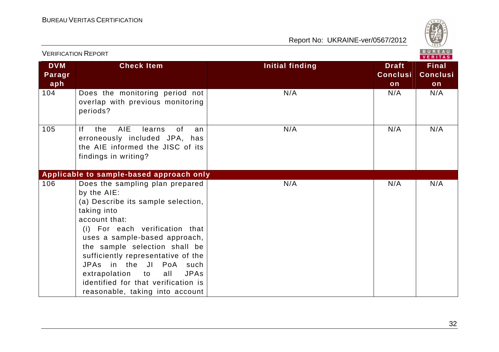![](_page_32_Picture_2.jpeg)

|                             | <b>VERIFICATION REPORT</b>                                                                                                                                                                                                                                                                                                                                                                                                   |                        |                                       | <b>BUREAU</b><br><b>VERITAS</b>       |
|-----------------------------|------------------------------------------------------------------------------------------------------------------------------------------------------------------------------------------------------------------------------------------------------------------------------------------------------------------------------------------------------------------------------------------------------------------------------|------------------------|---------------------------------------|---------------------------------------|
| <b>DVM</b><br>Paragr<br>aph | <b>Check Item</b>                                                                                                                                                                                                                                                                                                                                                                                                            | <b>Initial finding</b> | <b>Draft</b><br><b>Conclusi</b><br>on | <b>Final</b><br><b>Conclusi</b><br>on |
| 104                         | Does the monitoring period not<br>overlap with previous monitoring<br>periods?                                                                                                                                                                                                                                                                                                                                               | N/A                    | N/A                                   | N/A                                   |
| 105                         | AIE<br>Ιf<br>0f<br>the<br>learns<br>an<br>erroneously included JPA, has<br>the AIE informed the JISC of its<br>findings in writing?                                                                                                                                                                                                                                                                                          | N/A                    | N/A                                   | N/A                                   |
|                             | Applicable to sample-based approach only                                                                                                                                                                                                                                                                                                                                                                                     |                        |                                       |                                       |
| 106                         | Does the sampling plan prepared<br>by the AIE:<br>(a) Describe its sample selection,<br>taking into<br>account that:<br>(i) For each verification that<br>uses a sample-based approach,<br>the sample selection shall be<br>sufficiently representative of the<br>JPAs in the<br>$J\vert$<br>PoA such<br>extrapolation<br><b>JPAs</b><br>all<br>to<br>identified for that verification is<br>reasonable, taking into account | N/A                    | N/A                                   | N/A                                   |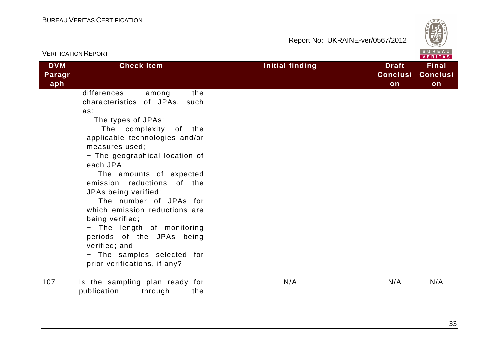![](_page_33_Picture_2.jpeg)

| <b>VERIFICATION REPORT</b>  |                                                                                                                                                                                                                                                                                                                                                                                                                                                                                                                                      |                        |                                       | BUREAU<br><b>VERITAS</b>              |
|-----------------------------|--------------------------------------------------------------------------------------------------------------------------------------------------------------------------------------------------------------------------------------------------------------------------------------------------------------------------------------------------------------------------------------------------------------------------------------------------------------------------------------------------------------------------------------|------------------------|---------------------------------------|---------------------------------------|
| <b>DVM</b><br>Paragr<br>aph | <b>Check Item</b>                                                                                                                                                                                                                                                                                                                                                                                                                                                                                                                    | <b>Initial finding</b> | <b>Draft</b><br><b>Conclusi</b><br>on | <b>Final</b><br><b>Conclusi</b><br>on |
|                             | differences<br>the<br>among<br>characteristics of JPAs, such<br>as:<br>- The types of JPAs;<br>The complexity of the<br>applicable technologies and/or<br>measures used;<br>- The geographical location of<br>each JPA;<br>- The amounts of expected<br>emission reductions of the<br>JPAs being verified;<br>- The number of JPAs for<br>which emission reductions are<br>being verified;<br>- The length of monitoring<br>periods of the JPAs being<br>verified; and<br>- The samples selected for<br>prior verifications, if any? |                        |                                       |                                       |
| 107                         | Is the sampling plan ready for<br>publication<br>through<br>the                                                                                                                                                                                                                                                                                                                                                                                                                                                                      | N/A                    | N/A                                   | N/A                                   |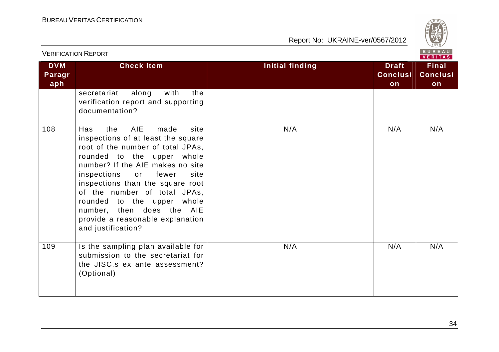![](_page_34_Picture_2.jpeg)

| <b>VERIFICATION REPORT</b>  |                                                                                                                                                                                                                                                                                                                                                                                                                      |                        |                                       | BUREAU<br><b>VERITAS</b>              |
|-----------------------------|----------------------------------------------------------------------------------------------------------------------------------------------------------------------------------------------------------------------------------------------------------------------------------------------------------------------------------------------------------------------------------------------------------------------|------------------------|---------------------------------------|---------------------------------------|
| <b>DVM</b><br>Paragr<br>aph | <b>Check Item</b>                                                                                                                                                                                                                                                                                                                                                                                                    | <b>Initial finding</b> | <b>Draft</b><br><b>Conclusi</b><br>on | <b>Final</b><br><b>Conclusi</b><br>on |
|                             | secretariat<br>along<br>with<br>the<br>verification report and supporting<br>documentation?                                                                                                                                                                                                                                                                                                                          |                        |                                       |                                       |
| 108                         | AIE<br>the<br>site<br><b>Has</b><br>made<br>inspections of at least the square<br>root of the number of total JPAs,<br>rounded to the upper whole<br>number? If the AIE makes no site<br>inspections<br>or<br>fewer<br>site<br>inspections than the square root<br>of the number of total JPAs,<br>rounded to the upper whole<br>number, then does the AIE<br>provide a reasonable explanation<br>and justification? | N/A                    | N/A                                   | N/A                                   |
| 109                         | Is the sampling plan available for<br>submission to the secretariat for<br>the JISC.s ex ante assessment?<br>(Optional)                                                                                                                                                                                                                                                                                              | N/A                    | N/A                                   | N/A                                   |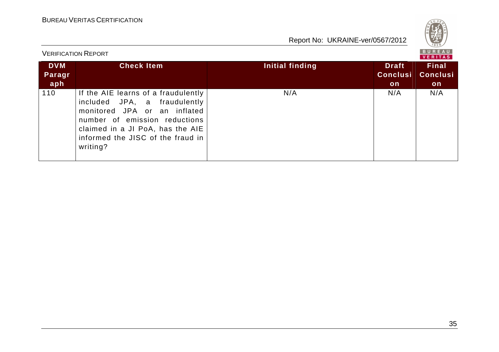![](_page_35_Picture_2.jpeg)

| <b>VERIFICATION REPORT</b>  |                                                                                                                                                                                                                           |                 |                                       |                                        |
|-----------------------------|---------------------------------------------------------------------------------------------------------------------------------------------------------------------------------------------------------------------------|-----------------|---------------------------------------|----------------------------------------|
| <b>DVM</b><br>Paragr<br>aph | <b>Check Item</b>                                                                                                                                                                                                         | Initial finding | <b>Draft</b><br><b>Conclusi</b><br>on | <b>Final</b><br><b>Conclusi</b><br>on. |
| 110                         | If the AIE learns of a fraudulently<br>included JPA, a fraudulently<br>monitored JPA or an inflated<br>number of emission reductions<br>claimed in a JI PoA, has the AIE<br>informed the JISC of the fraud in<br>writing? | N/A             | N/A                                   | N/A                                    |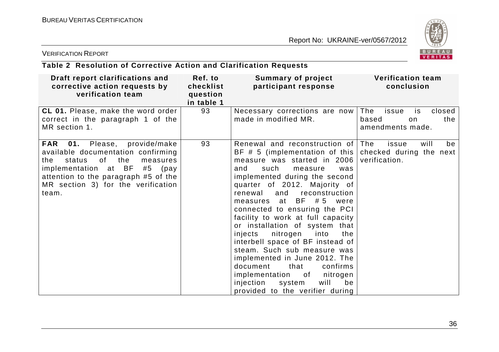![](_page_36_Picture_2.jpeg)

### VERIFICATION REPORT

| Table 2 Resolution of Corrective Action and Clarification Requests |  |
|--------------------------------------------------------------------|--|
|--------------------------------------------------------------------|--|

| Draft report clarifications and<br>corrective action requests by<br>verification team                                                                                                                                                                    | Ref. to<br>checklist<br>question<br>in table 1 | Summary of project<br>participant response                                                                                                                                                                                                                                                                                                                                                                                                                                                                                                                                                                                                                                            | <b>Verification team</b><br>conclusion                                   |
|----------------------------------------------------------------------------------------------------------------------------------------------------------------------------------------------------------------------------------------------------------|------------------------------------------------|---------------------------------------------------------------------------------------------------------------------------------------------------------------------------------------------------------------------------------------------------------------------------------------------------------------------------------------------------------------------------------------------------------------------------------------------------------------------------------------------------------------------------------------------------------------------------------------------------------------------------------------------------------------------------------------|--------------------------------------------------------------------------|
| <b>CL 01.</b> Please, make the word order<br>correct in the paragraph 1 of the<br>MR section 1.                                                                                                                                                          | 93                                             | Necessary corrections are now<br>made in modified MR.                                                                                                                                                                                                                                                                                                                                                                                                                                                                                                                                                                                                                                 | The<br>closed<br>issue<br>is.<br>the<br>based<br>on.<br>amendments made. |
| <b>FAR</b><br><b>01.</b> Please, provide/make<br>available documentation confirming<br>of the<br>status<br>the.<br>measures<br>implementation at BF<br>#5<br>(pay<br>attention to the paragraph #5 of the<br>MR section 3) for the verification<br>team. | 93                                             | Renewal and reconstruction of The<br>BF # 5 (implementation of this checked during the next<br>measure was started in 2006<br>such<br>and<br>measure<br>was<br>implemented during the second<br>quarter of 2012. Majority of<br>renewal<br>and<br>reconstruction<br>measures at BF #5 were<br>connected to ensuring the PCI<br>facility to work at full capacity<br>or installation of system that<br>nitrogen<br>into<br>injects<br>the<br>interbell space of BF instead of<br>steam. Such sub measure was<br>implemented in June 2012. The<br>document<br>that<br>confirms<br>implementation of<br>nitrogen<br>injection<br>will<br>be<br>system<br>provided to the verifier during | be<br>will<br>issue<br>verification.                                     |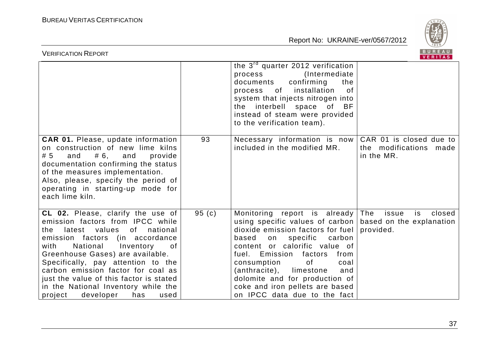![](_page_37_Picture_2.jpeg)

| <b>VERIFICATION REPORT</b>                                                                                                                                                                                                                                                                                                                                                                                                             |        |                                                                                                                                                                                                                                                                                                                                                                                                                | BUREAU<br>VERITAS                                               |
|----------------------------------------------------------------------------------------------------------------------------------------------------------------------------------------------------------------------------------------------------------------------------------------------------------------------------------------------------------------------------------------------------------------------------------------|--------|----------------------------------------------------------------------------------------------------------------------------------------------------------------------------------------------------------------------------------------------------------------------------------------------------------------------------------------------------------------------------------------------------------------|-----------------------------------------------------------------|
|                                                                                                                                                                                                                                                                                                                                                                                                                                        |        | the 3 <sup>rd</sup> quarter 2012 verification<br>(Intermediate)<br>process<br>documents<br>confirming<br>the<br>process of<br>installation<br>0f<br>system that injects nitrogen into<br>the interbell space of BF<br>instead of steam were provided<br>to the verification team).                                                                                                                             |                                                                 |
| <b>CAR 01.</b> Please, update information<br>on construction of new lime kilns<br># 6,<br># 5<br>and<br>and<br>provide<br>documentation confirming the status<br>of the measures implementation.<br>Also, please, specify the period of<br>operating in starting-up mode for<br>each lime kiln.                                                                                                                                        | 93     | Necessary information is now<br>included in the modified MR.                                                                                                                                                                                                                                                                                                                                                   | CAR 01 is closed due to<br>the modifications made<br>in the MR. |
| CL 02. Please, clarify the use of<br>emission factors from IPCC while<br>values<br>national<br>latest<br>of<br>the<br>emission factors (in accordance<br>National<br>with<br>Inventory<br>0f.<br>Greenhouse Gases) are available.<br>Specifically, pay attention to the<br>carbon emission factor for coal as<br>just the value of this factor is stated<br>in the National Inventory while the<br>developer<br>has<br>project<br>used | 95 (c) | Monitoring report is already<br>using specific values of carbon   based on the explanation<br>dioxide emission factors for fuel<br>based<br>specific carbon<br>on<br>content or calorific value of<br>fuel.<br>Emission factors<br>from<br>consumption<br>of<br>coal<br>(anthracite),<br>limestone<br>and<br>dolomite and for production of<br>coke and iron pellets are based<br>on IPCC data due to the fact | The<br>issue<br>closed<br>is.<br>provided.                      |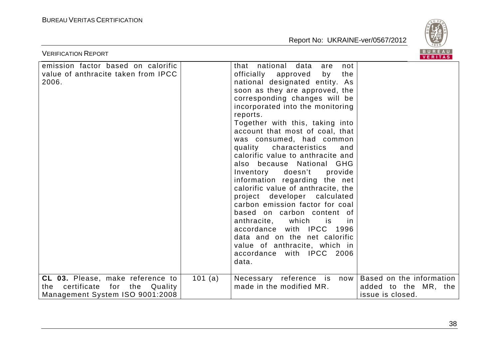![](_page_38_Picture_2.jpeg)

| <b>VERIFICATION REPORT</b>                                                                                          |         |                                                                                                                                                                                                                                                                                                                                                                                                                                                                                                                                                                                                                                                                                                                                                                                                                                | B U K E A U  <br><b>VERITAS</b>                                      |
|---------------------------------------------------------------------------------------------------------------------|---------|--------------------------------------------------------------------------------------------------------------------------------------------------------------------------------------------------------------------------------------------------------------------------------------------------------------------------------------------------------------------------------------------------------------------------------------------------------------------------------------------------------------------------------------------------------------------------------------------------------------------------------------------------------------------------------------------------------------------------------------------------------------------------------------------------------------------------------|----------------------------------------------------------------------|
| emission factor based on calorific<br>value of anthracite taken from IPCC<br>2006.                                  |         | that national data<br>not<br>are<br>officially approved<br>the<br>by<br>national designated entity. As<br>soon as they are approved, the<br>corresponding changes will be<br>incorporated into the monitoring<br>reports.<br>Together with this, taking into<br>account that most of coal, that<br>was consumed, had common<br>characteristics<br>quality<br>and<br>calorific value to anthracite and<br>also because National GHG<br>Inventory doesn't<br>provide<br>information regarding the net<br>calorific value of anthracite, the<br>project developer calculated<br>carbon emission factor for coal<br>based on carbon content of<br>anthracite,<br>which<br>is<br><sub>in</sub><br>accordance with IPCC 1996<br>data and on the net calorific<br>value of anthracite, which in<br>accordance with IPCC 2006<br>data. |                                                                      |
| <b>CL 03.</b> Please, make reference to<br>certificate<br>for the Quality<br>the<br>Management System ISO 9001:2008 | 101 (a) | Necessary reference is now<br>made in the modified MR.                                                                                                                                                                                                                                                                                                                                                                                                                                                                                                                                                                                                                                                                                                                                                                         | Based on the information<br>added to the MR, the<br>issue is closed. |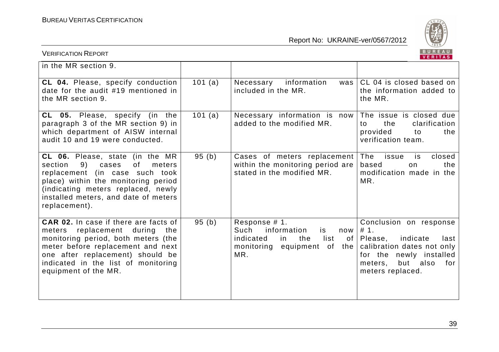![](_page_39_Picture_2.jpeg)

| <b>VERIFICATION REPORT</b>                                                                                                                                                                                                                                     |         |                                                                                                                                  | BUREAU<br>VERITAS                                                                                                                                                          |
|----------------------------------------------------------------------------------------------------------------------------------------------------------------------------------------------------------------------------------------------------------------|---------|----------------------------------------------------------------------------------------------------------------------------------|----------------------------------------------------------------------------------------------------------------------------------------------------------------------------|
| in the MR section 9.                                                                                                                                                                                                                                           |         |                                                                                                                                  |                                                                                                                                                                            |
| CL 04. Please, specify conduction<br>date for the audit #19 mentioned in<br>the MR section 9.                                                                                                                                                                  | 101 (a) | information<br>Necessary<br>was<br>included in the MR.                                                                           | CL 04 is closed based on<br>the information added to<br>the MR.                                                                                                            |
| <b>CL 05.</b> Please, specify (in the<br>paragraph 3 of the MR section 9) in<br>which department of AISW internal<br>audit 10 and 19 were conducted.                                                                                                           | 101(a)  | Necessary information is now<br>added to the modified MR.                                                                        | The issue is closed due<br>clarification<br>the<br>to<br>provided<br>to<br>the<br>verification team.                                                                       |
| CL 06. Please, state (in the MR<br>9)<br>of<br>section<br>cases<br>meters<br>replacement (in case such took<br>place) within the monitoring period<br>(indicating meters replaced, newly<br>installed meters, and date of meters<br>replacement).              | 95(b)   | Cases of meters replacement<br>within the monitoring period are<br>stated in the modified MR.                                    | The<br>closed<br>issue<br>is<br>based<br>the<br>on.<br>modification made in the<br>MR.                                                                                     |
| CAR 02. In case if there are facts of<br>replacement<br>meters<br>during<br>the<br>monitoring period, both meters (the<br>meter before replacement and next<br>one after replacement) should be<br>indicated in the list of monitoring<br>equipment of the MR. | 95(b)   | Response # 1.<br>Such<br>information<br>is<br>now<br>indicated<br>list<br>the<br>in.<br>of<br>monitoring equipment of the<br>MR. | Conclusion on response<br>#1.<br>Please,<br>indicate<br>last<br>calibration dates not only<br>for the newly installed<br>but<br>also<br>for<br>meters,<br>meters replaced. |